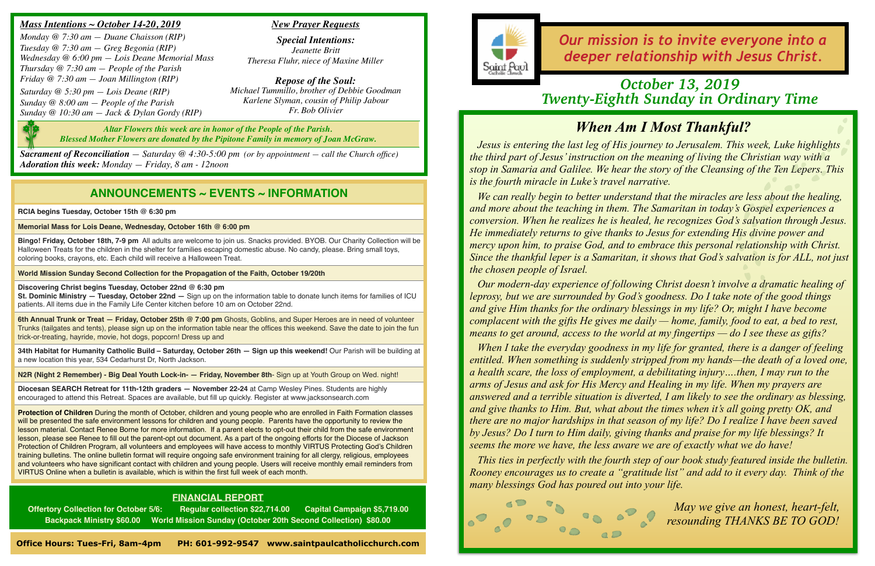## *When Am I Most Thankful?*

*Jesus is entering the last leg of His journey to Jerusalem. This week, Luke highlights the third part of Jesus' instruction on the meaning of living the Christian way with a stop in Samaria and Galilee. We hear the story of the Cleansing of the Ten Lepers. This is the fourth miracle in Luke's travel narrative.* 

*We can really begin to better understand that the miracles are less about the healing, and more about the teaching in them. The Samaritan in today's Gospel experiences a conversion. When he realizes he is healed, he recognizes God's salvation through Jesus. He immediately returns to give thanks to Jesus for extending His divine power and mercy upon him, to praise God, and to embrace this personal relationship with Christ. Since the thankful leper is a Samaritan, it shows that God's salvation is for ALL, not just the chosen people of Israel.* 

*Our modern-day experience of following Christ doesn't involve a dramatic healing of leprosy, but we are surrounded by God's goodness. Do I take note of the good things and give Him thanks for the ordinary blessings in my life? Or, might I have become complacent with the gifts He gives me daily — home, family, food to eat, a bed to rest, means to get around, access to the world at my fingertips — do I see these as gifts?* 

*When I take the everyday goodness in my life for granted, there is a danger of feeling entitled. When something is suddenly stripped from my hands—the death of a loved one, a health scare, the loss of employment, a debilitating injury….then, I may run to the arms of Jesus and ask for His Mercy and Healing in my life. When my prayers are answered and a terrible situation is diverted, I am likely to see the ordinary as blessing, and give thanks to Him. But, what about the times when it's all going pretty OK, and there are no major hardships in that season of my life? Do I realize I have been saved by Jesus? Do I turn to Him daily, giving thanks and praise for my life blessings? It seems the more we have, the less aware we are of exactly what we do have!* 

*This ties in perfectly with the fourth step of our book study featured inside the bulletin. Rooney encourages us to create a "gratitude list" and add to it every day. Think of the many blessings God has poured out into your life.* 



*May we give an honest, heart-felt, resounding THANKS BE TO GOD!*

### **ANNOUNCEMENTS ~ EVENTS ~ INFORMATION**

**RCIA begins Tuesday, October 15th @ 6:30 pm**

**Memorial Mass for Lois Deane, Wednesday, October 16th @ 6:00 pm**

**Bingo! Friday, October 18th, 7-9 pm** All adults are welcome to join us. Snacks provided. BYOB. Our Charity Collection will be Halloween Treats for the children in the shelter for families escaping domestic abuse. No candy, please. Bring small toys, coloring books, crayons, etc. Each child will receive a Halloween Treat.

**World Mission Sunday Second Collection for the Propagation of the Faith, October 19/20th**

**Discovering Christ begins Tuesday, October 22nd @ 6:30 pm** 

**St. Dominic Ministry — Tuesday, October 22nd —** Sign up on the information table to donate lunch items for families of ICU patients. All items due in the Family Life Center kitchen before 10 am on October 22nd.

**6th Annual Trunk or Treat — Friday, October 25th @ 7:00 pm** Ghosts, Goblins, and Super Heroes are in need of volunteer Trunks (tailgates and tents), please sign up on the information table near the offices this weekend. Save the date to join the fun trick-or-treating, hayride, movie, hot dogs, popcorn! Dress up and

**34th Habitat for Humanity Catholic Build – Saturday, October 26th — Sign up this weekend!** Our Parish will be building at a new location this year, 534 Cedarhurst Dr, North Jackson.

**N2R (Night 2 Remember) - Big Deal Youth Lock-in- — Friday, November 8th**- Sign up at Youth Group on Wed. night!

**Diocesan SEARCH Retreat for 11th-12th graders — November 22-24** at Camp Wesley Pines. Students are highly encouraged to attend this Retreat. Spaces are available, but fill up quickly. Register at www.jacksonsearch.com

**Protection of Children** During the month of October, children and young people who are enrolled in Faith Formation classes will be presented the safe environment lessons for children and young people. Parents have the opportunity to review the lesson material. Contact Renee Borne for more information. If a parent elects to opt-out their child from the safe environment lesson, please see Renee to fill out the parent-opt out document. As a part of the ongoing efforts for the Diocese of Jackson Protection of Children Program, all volunteers and employees will have access to monthly VIRTUS Protecting God's Children training bulletins. The online bulletin format will require ongoing safe environment training for all clergy, religious, employees and volunteers who have significant contact with children and young people. Users will receive monthly email reminders from VIRTUS Online when a bulletin is available, which is within the first full week of each month.

*Our mission is to invite everyone into a deeper relationship with Jesus Christ.*

#### *Mass Intentions ~ October 14-20, 2019*

*Monday @ 7:30 am — Duane Chaisson (RIP) Tuesday @ 7:30 am — Greg Begonia (RIP) Wednesday @ 6:00 pm — Lois Deane Memorial Mass Thursday @ 7:30 am — People of the Parish Friday @ 7:30 am — Joan Millington (RIP)*

*Saturday @ 5:30 pm — Lois Deane (RIP) Sunday @ 8:00 am — People of the Parish Sunday @ 10:30 am — Jack & Dylan Gordy (RIP)*

*Sacrament of Reconciliation — Saturday @ 4:30-5:00 pm (or by appointment — call the Church office) Adoration this week: Monday — Friday, 8 am - 12noon*

#### *New Prayer Requests*

*Special Intentions: Jeanette Britt Theresa Fluhr, niece of Maxine Miller*

*Repose of the Soul: Michael Tummillo, brother of Debbie Goodman Karlene Slyman, cousin of Philip Jabour Fr. Bob Olivier*

### *October 13, 2019 Twenty-Eighth Sunday in Ordinary Time*

### **FINANCIAL REPORT**

**Offertory Collection for October 5/6: Regular collection \$22,714.00 Capital Campaign \$5,719.00 Backpack Ministry \$60.00 World Mission Sunday (October 20th Second Collection) \$80.00**



**Office Hours: Tues-Fri, 8am-4pm PH: 601-992-9547 www.saintpaulcatholicchurch.com** 

*Altar Flowers this week are in honor of the People of the Parish. Blessed Mother Flowers are donated by the Pipitone Family in memory of Joan McGraw.*